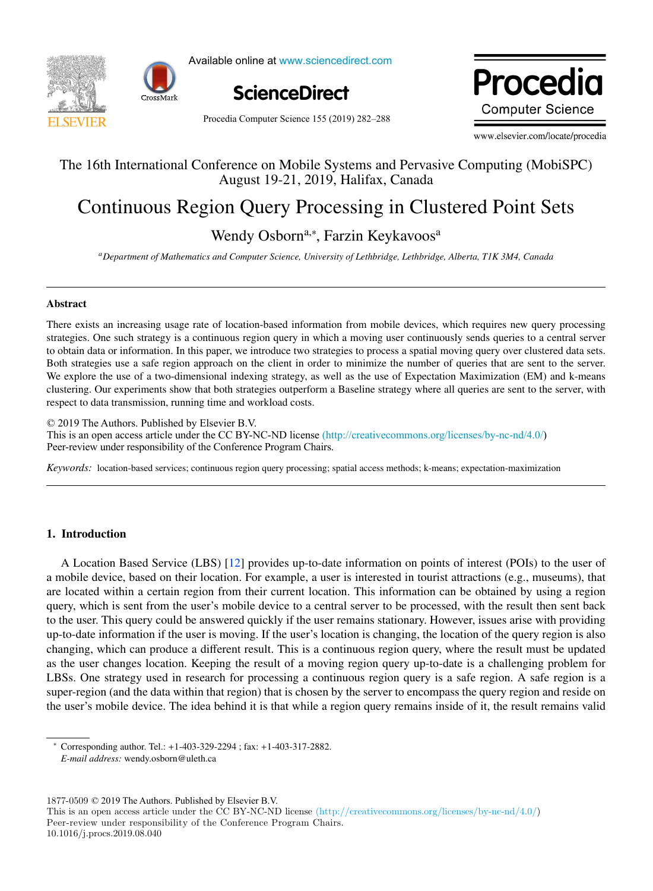



Available online at www.sciencedirect.com



Procedia Computer Science 155 (2019) 282-288

Procedia **Computer Science** 

www.elsevier.com/locate/procedia

#### The 16th International Conference on Mobile Systems and Pervasive Computing (MobiSPC) The 16th International Conference on Mobile Systems and Pervasive Computing (MobiSPC) August 19-21, 2019, Halifax, Canada

# Continuous Region Query Processing in Clustered Point Sets Continuous Region Query Processing in Clustered Point Sets

## Wendy Osborn<sup>a,∗</sup>, Farzin Keykavoos<sup>a</sup>

a<br>Department of Mathematics and Computer Science, University of Lethbridge, Lethbridge, Alberta, TIK 3M4, Canada

### Abstract Abstract

There exists an increasing usage rate of location-based information from mobile devices, which requires new  $\alpha$ There exists an increasing usage rate of location-based information from mobile devices, which requires new query processing strategies. One such strategy is a continuous region query in which a moving user continuously sends queries to a central server to obtain data or information. In this paper, we introduce two strategies to process a spatial moving query over clustered data sets. Both strategies use a safe region approach on the client in order to minimize the number of queries that are sent to the server. We explore the use of a two-dimensional indexing strategy, as well as the use of Expectation Maximization (EM) and k-means clustering. Our experiments show that both strategies outperform a Baseline strategy where all queries are sent to the server, with respect to data transmission, running time and workload costs.

 $© 2019$  The Authors. Published by Elsevier B.V. This is an open access article under the CC BY-NC-ND license [\(http://creativecommons.org/licenses/by-nc-nd/4.0/](http://creativecommons.org/licenses/by-nc-nd/4.0/)) Peer-review under responsibility of the Conference Program Chairs. Peer-review under responsibility of the Conference Program Chairs.

*Keywords:* location-based services; continuous region query processing; spatial access methods; k-means; expectation-maximization *Keywords:* location-based services; continuous region query processing; spatial access methods; k-means; expectation-maximization

#### 1. Introduction

A Location Based Service (LBS) [12] provides up-to-date information on points of interest (POIs) to the user of a mobile device, based on their location. For example, a user is interested in tourist attractions (e.g., museums), that are located within a certain region from their current location. This information can be obtained by using a region query, which is sent from the user's mobile device to a central server to be processed, with the result then sent back to the user. This query could be answered quickly if the user remains stationary. However, issues arise with providing up-to-date information if the user is moving. If the user's location is changing, the location of the query region is also changing, which can produce a different result. This is a continuous region query, where the result must be updated as the user changes location. Keeping the result of a moving region query up-to-date is a challenging problem for LBSs. One strategy used in research for processing a continuous region query is a safe region. A safe region is a super-region (and the data within that region) that is chosen by the server to encompass the query region and reside on the user's mobile device. The idea behind it is that while a region query remains inside of it, the result remains valid the user is mobile device. The idea behind it is that while a region query remains inside of it, the result remains valid remains valid remains valid remains valid remains valid remains valid remains valid remains valid r

 $1877-0509 \odot 2019$  The Authors. Published by Elsevier B.V.

*E-mail address:* wendy.osborn@uleth.ca

<sup>∗</sup> Corresponding author. Tel.: +1-403-329-2294 ; fax: +1-403-317-2882. *E-mail address:* wendy.osborn@uleth.ca

This is an open access article under the CC BY-NC-ND license (http://creativecommons.org/licenses/by-nc-nd/4.0/) Peer-review under responsibility of the Conference Program Chairs.

<sup>10.1016/</sup>j.procs.2019.08.040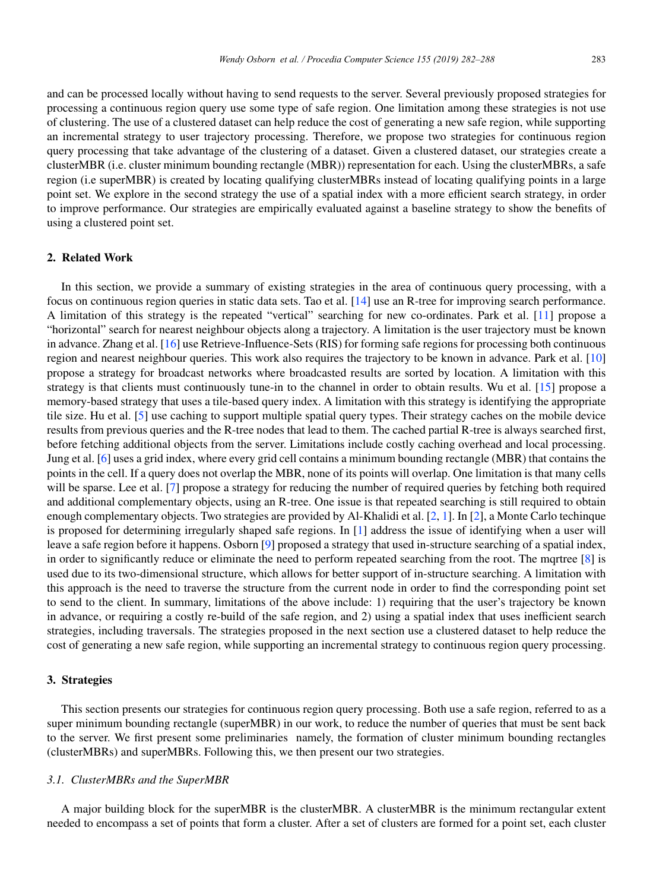and can be processed locally without having to send requests to the server. Several previously proposed strategies for processing a continuous region query use some type of safe region. One limitation among these strategies is not use of clustering. The use of a clustered dataset can help reduce the cost of generating a new safe region, while supporting an incremental strategy to user trajectory processing. Therefore, we propose two strategies for continuous region query processing that take advantage of the clustering of a dataset. Given a clustered dataset, our strategies create a clusterMBR (i.e. cluster minimum bounding rectangle (MBR)) representation for each. Using the clusterMBRs, a safe region (i.e superMBR) is created by locating qualifying clusterMBRs instead of locating qualifying points in a large point set. We explore in the second strategy the use of a spatial index with a more efficient search strategy, in order to improve performance. Our strategies are empirically evaluated against a baseline strategy to show the benefits of using a clustered point set.

#### 2. Related Work

In this section, we provide a summary of existing strategies in the area of continuous query processing, with a focus on continuous region queries in static data sets. Tao et al. [14] use an R-tree for improving search performance. A limitation of this strategy is the repeated "vertical" searching for new co-ordinates. Park et al. [11] propose a "horizontal" search for nearest neighbour objects along a trajectory. A limitation is the user trajectory must be known in advance. Zhang et al. [16] use Retrieve-Influence-Sets (RIS) for forming safe regions for processing both continuous region and nearest neighbour queries. This work also requires the trajectory to be known in advance. Park et al. [10] propose a strategy for broadcast networks where broadcasted results are sorted by location. A limitation with this strategy is that clients must continuously tune-in to the channel in order to obtain results. Wu et al. [15] propose a memory-based strategy that uses a tile-based query index. A limitation with this strategy is identifying the appropriate tile size. Hu et al. [5] use caching to support multiple spatial query types. Their strategy caches on the mobile device results from previous queries and the R-tree nodes that lead to them. The cached partial R-tree is always searched first, before fetching additional objects from the server. Limitations include costly caching overhead and local processing. Jung et al. [6] uses a grid index, where every grid cell contains a minimum bounding rectangle (MBR) that contains the points in the cell. If a query does not overlap the MBR, none of its points will overlap. One limitation is that many cells will be sparse. Lee et al. [7] propose a strategy for reducing the number of required queries by fetching both required and additional complementary objects, using an R-tree. One issue is that repeated searching is still required to obtain enough complementary objects. Two strategies are provided by Al-Khalidi et al. [2, 1]. In [2], a Monte Carlo techinque is proposed for determining irregularly shaped safe regions. In [1] address the issue of identifying when a user will leave a safe region before it happens. Osborn [9] proposed a strategy that used in-structure searching of a spatial index, in order to significantly reduce or eliminate the need to perform repeated searching from the root. The mqrtree [8] is used due to its two-dimensional structure, which allows for better support of in-structure searching. A limitation with this approach is the need to traverse the structure from the current node in order to find the corresponding point set to send to the client. In summary, limitations of the above include: 1) requiring that the user's trajectory be known in advance, or requiring a costly re-build of the safe region, and 2) using a spatial index that uses inefficient search strategies, including traversals. The strategies proposed in the next section use a clustered dataset to help reduce the cost of generating a new safe region, while supporting an incremental strategy to continuous region query processing.

#### 3. Strategies

This section presents our strategies for continuous region query processing. Both use a safe region, referred to as a super minimum bounding rectangle (superMBR) in our work, to reduce the number of queries that must be sent back to the server. We first present some preliminaries namely, the formation of cluster minimum bounding rectangles (clusterMBRs) and superMBRs. Following this, we then present our two strategies.

#### *3.1. ClusterMBRs and the SuperMBR*

A major building block for the superMBR is the clusterMBR. A clusterMBR is the minimum rectangular extent needed to encompass a set of points that form a cluster. After a set of clusters are formed for a point set, each cluster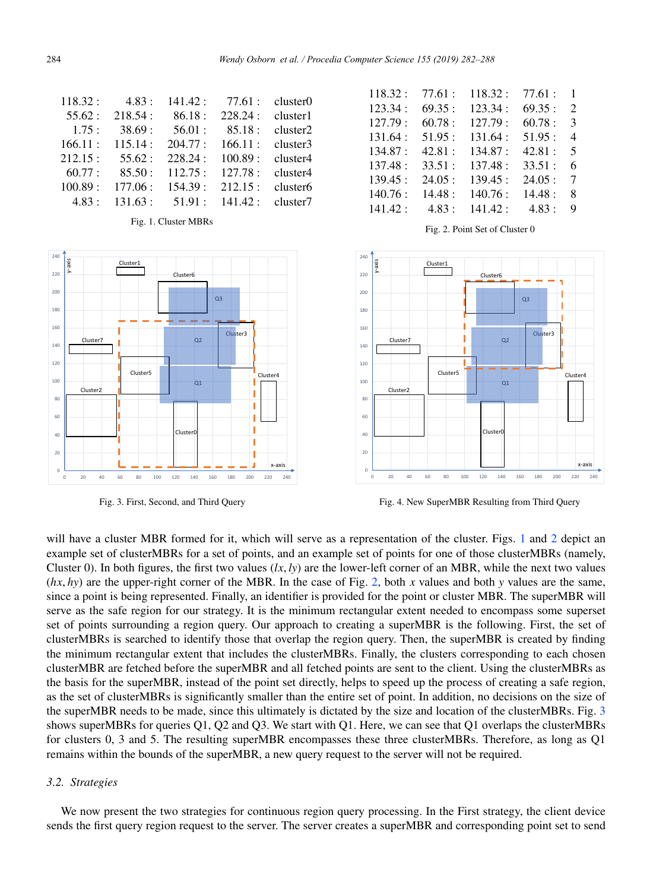| cluster0             | 77.61:  | 141.42: | 4.83:   | 118.32: |
|----------------------|---------|---------|---------|---------|
| cluster1             | 228.24: | 86.18:  | 218.54: | 55.62:  |
| cluster2             | 85.18:  | 56.01:  | 38.69:  | 1.75:   |
| cluster3             | 166.11: | 204.77: | 115.14: | 166.11: |
| cluster4             | 100.89: | 228.24: | 55.62:  | 212.15: |
| cluster4             | 127.78: | 112.75: | 85.50:  | 60.77:  |
| cluster <sub>6</sub> | 212.15: | 154.39: | 177.06: | 100.89: |
| cluster7             | 141.42: | 51.91:  | 131.63: | 4.83:   |

Fig. 1. Cluster MBRs







Fig. 3. First, Second, and Third Query

Fig. 4. New SuperMBR Resulting from Third Query

will have a cluster MBR formed for it, which will serve as a representation of the cluster. Figs. 1 and 2 depict an example set of clusterMBRs for a set of points, and an example set of points for one of those clusterMBRs (namely, Cluster 0). In both figures, the first two values  $(lx, ly)$  are the lower-left corner of an MBR, while the next two values (*hx*, *hy*) are the upper-right corner of the MBR. In the case of Fig. 2, both *x* values and both *y* values are the same, since a point is being represented. Finally, an identifier is provided for the point or cluster MBR. The superMBR will serve as the safe region for our strategy. It is the minimum rectangular extent needed to encompass some superset set of points surrounding a region query. Our approach to creating a superMBR is the following. First, the set of clusterMBRs is searched to identify those that overlap the region query. Then, the superMBR is created by finding the minimum rectangular extent that includes the clusterMBRs. Finally, the clusters corresponding to each chosen clusterMBR are fetched before the superMBR and all fetched points are sent to the client. Using the clusterMBRs as the basis for the superMBR, instead of the point set directly, helps to speed up the process of creating a safe region, as the set of clusterMBRs is significantly smaller than the entire set of point. In addition, no decisions on the size of the superMBR needs to be made, since this ultimately is dictated by the size and location of the clusterMBRs. Fig. 3 shows superMBRs for queries Q1, Q2 and Q3. We start with Q1. Here, we can see that Q1 overlaps the clusterMBRs for clusters 0, 3 and 5. The resulting superMBR encompasses these three clusterMBRs. Therefore, as long as Q1 remains within the bounds of the superMBR, a new query request to the server will not be required.

#### *3.2. Strategies*

We now present the two strategies for continuous region query processing. In the First strategy, the client device sends the first query region request to the server. The server creates a superMBR and corresponding point set to send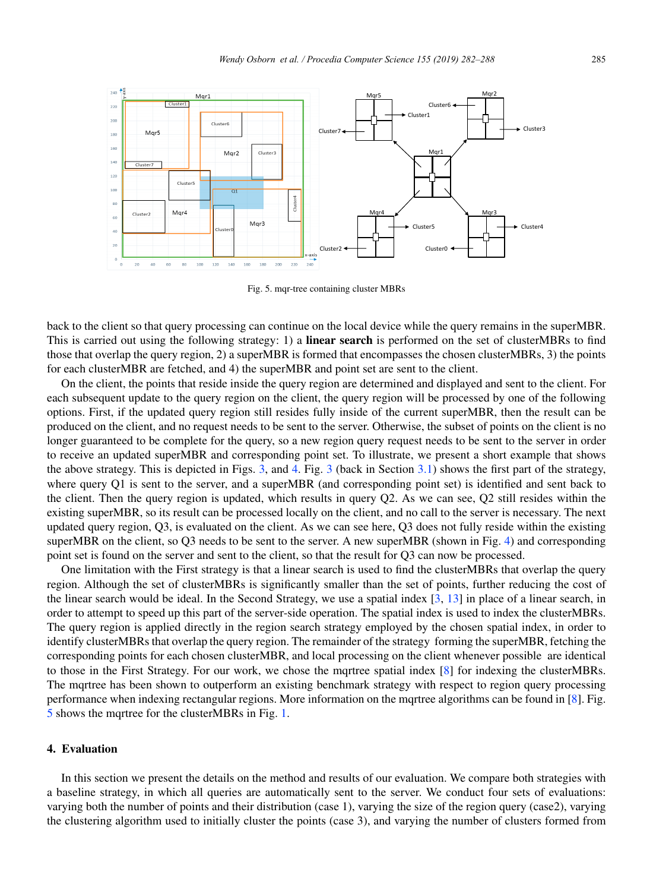

Fig. 5. mqr-tree containing cluster MBRs

back to the client so that query processing can continue on the local device while the query remains in the superMBR. This is carried out using the following strategy: 1) a **linear search** is performed on the set of clusterMBRs to find those that overlap the query region, 2) a superMBR is formed that encompasses the chosen clusterMBRs, 3) the points for each clusterMBR are fetched, and 4) the superMBR and point set are sent to the client.

On the client, the points that reside inside the query region are determined and displayed and sent to the client. For each subsequent update to the query region on the client, the query region will be processed by one of the following options. First, if the updated query region still resides fully inside of the current superMBR, then the result can be produced on the client, and no request needs to be sent to the server. Otherwise, the subset of points on the client is no longer guaranteed to be complete for the query, so a new region query request needs to be sent to the server in order to receive an updated superMBR and corresponding point set. To illustrate, we present a short example that shows the above strategy. This is depicted in Figs. 3, and 4. Fig. 3 (back in Section 3.1) shows the first part of the strategy, where query Q1 is sent to the server, and a superMBR (and corresponding point set) is identified and sent back to the client. Then the query region is updated, which results in query Q2. As we can see, Q2 still resides within the existing superMBR, so its result can be processed locally on the client, and no call to the server is necessary. The next updated query region, Q3, is evaluated on the client. As we can see here, Q3 does not fully reside within the existing superMBR on the client, so Q3 needs to be sent to the server. A new superMBR (shown in Fig. 4) and corresponding point set is found on the server and sent to the client, so that the result for Q3 can now be processed.

One limitation with the First strategy is that a linear search is used to find the clusterMBRs that overlap the query region. Although the set of clusterMBRs is significantly smaller than the set of points, further reducing the cost of the linear search would be ideal. In the Second Strategy, we use a spatial index  $[3, 13]$  in place of a linear search, in order to attempt to speed up this part of the server-side operation. The spatial index is used to index the clusterMBRs. The query region is applied directly in the region search strategy employed by the chosen spatial index, in order to identify clusterMBRs that overlap the query region. The remainder of the strategy forming the superMBR, fetching the corresponding points for each chosen clusterMBR, and local processing on the client whenever possible are identical to those in the First Strategy. For our work, we chose the mqrtree spatial index [8] for indexing the clusterMBRs. The mqrtree has been shown to outperform an existing benchmark strategy with respect to region query processing performance when indexing rectangular regions. More information on the mqrtree algorithms can be found in [8]. Fig. 5 shows the mqrtree for the clusterMBRs in Fig. 1.

#### 4. Evaluation

In this section we present the details on the method and results of our evaluation. We compare both strategies with a baseline strategy, in which all queries are automatically sent to the server. We conduct four sets of evaluations: varying both the number of points and their distribution (case 1), varying the size of the region query (case2), varying the clustering algorithm used to initially cluster the points (case 3), and varying the number of clusters formed from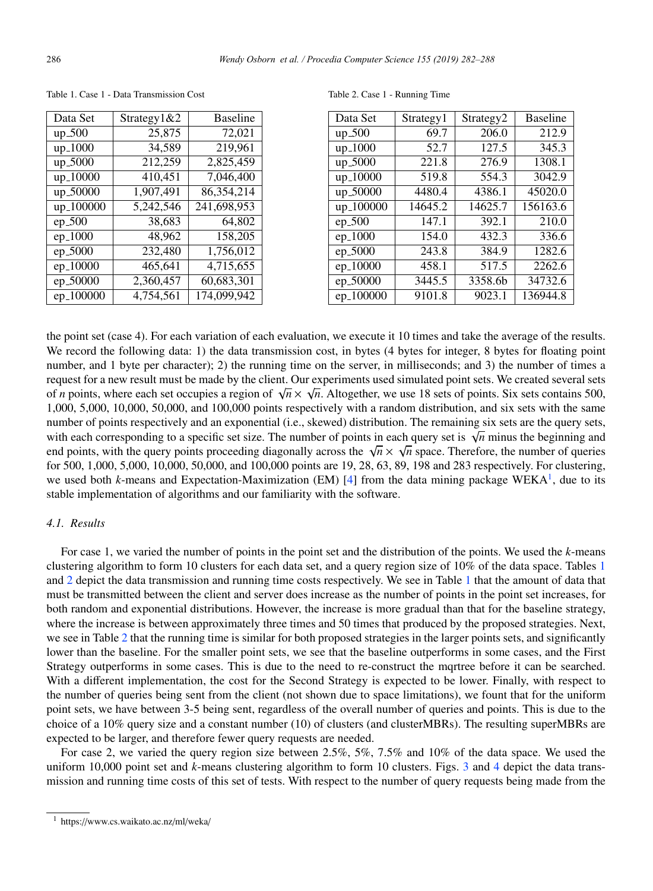| Data Set   | Strategy $1&&2$ | <b>Baseline</b> |
|------------|-----------------|-----------------|
| $up_500$   | 25,875          | 72,021          |
| $up_1000$  | 34,589          | 219,961         |
| $up\_5000$ | 212,259         | 2,825,459       |
| up_10000   | 410,451         | 7,046,400       |
| up_50000   | 1,907,491       | 86,354,214      |
| up_100000  | 5,242,546       | 241,698,953     |
| ep_500     | 38,683          | 64,802          |
| ep_1000    | 48,962          | 158,205         |
| ep_5000    | 232,480         | 1,756,012       |
| $ep_10000$ | 465.641         | 4,715,655       |
| ep_50000   | 2,360,457       | 60,683,301      |
| ep_100000  | 4.754.561       | 174,099,942     |

Table 1. Case 1 - Data Transmission Cost

Table 2. Case 1 - Running Time

| Data Set  | Strategy1 | Strategy <sub>2</sub> | <b>Baseline</b> |
|-----------|-----------|-----------------------|-----------------|
| $up_500$  | 69.7      | 206.0                 | 212.9           |
| up_1000   | 52.7      | 127.5                 | 345.3           |
| up_5000   | 221.8     | 276.9                 | 1308.1          |
| up_10000  | 519.8     | 554.3                 | 3042.9          |
| up_50000  | 4480.4    | 4386.1                | 45020.0         |
| up_100000 | 14645.2   | 14625.7               | 156163.6        |
| ep_500    | 147.1     | 392.1                 | 210.0           |
| ep_1000   | 154.0     | 432.3                 | 336.6           |
| ep_5000   | 243.8     | 384.9                 | 1282.6          |
| ep_10000  | 458.1     | 517.5                 | 2262.6          |
| ep_50000  | 3445.5    | 3358.6b               | 34732.6         |
| ep_100000 | 9101.8    | 9023.1                | 136944.8        |

the point set (case 4). For each variation of each evaluation, we execute it 10 times and take the average of the results. We record the following data: 1) the data transmission cost, in bytes (4 bytes for integer, 8 bytes for floating point number, and 1 byte per character); 2) the running time on the server, in milliseconds; and 3) the number of times a request for a new result must be made by the client. Our experiments used simulated point sets. We created several sets of *n* points, where each set occupies a region of  $\sqrt{n} \times \sqrt{n}$ . Altogether, we use 18 sets of points. Six sets contains 500, 1,000, 5,000, 10,000, 50,000, and 100,000 points respectively with a random distribution, and six sets with the same number of points respectively and an exponential (i.e., skewed) distribution. The remaining six sets are the query sets, with each corresponding to a specific set size. The number of points in each query set is  $\sqrt{n}$  minus the beginning and end points, with the query points proceeding diagonally across the  $\sqrt{n} \times \sqrt{n}$  space. Therefore, the number of queries for 500, 1,000, 5,000, 10,000, 50,000, and 100,000 points are 19, 28, 63, 89, 198 and 283 respectively. For clustering, we used both *k*-means and Expectation-Maximization (EM) [4] from the data mining package WEKA<sup>1</sup>, due to its stable implementation of algorithms and our familiarity with the software.

#### *4.1. Results*

For case 1, we varied the number of points in the point set and the distribution of the points. We used the *k*-means clustering algorithm to form 10 clusters for each data set, and a query region size of 10% of the data space. Tables 1 and 2 depict the data transmission and running time costs respectively. We see in Table 1 that the amount of data that must be transmitted between the client and server does increase as the number of points in the point set increases, for both random and exponential distributions. However, the increase is more gradual than that for the baseline strategy, where the increase is between approximately three times and 50 times that produced by the proposed strategies. Next, we see in Table 2 that the running time is similar for both proposed strategies in the larger points sets, and significantly lower than the baseline. For the smaller point sets, we see that the baseline outperforms in some cases, and the First Strategy outperforms in some cases. This is due to the need to re-construct the mqrtree before it can be searched. With a different implementation, the cost for the Second Strategy is expected to be lower. Finally, with respect to the number of queries being sent from the client (not shown due to space limitations), we fount that for the uniform point sets, we have between 3-5 being sent, regardless of the overall number of queries and points. This is due to the choice of a 10% query size and a constant number (10) of clusters (and clusterMBRs). The resulting superMBRs are expected to be larger, and therefore fewer query requests are needed.

For case 2, we varied the query region size between 2.5%, 5%, 7.5% and 10% of the data space. We used the uniform 10,000 point set and *k*-means clustering algorithm to form 10 clusters. Figs. 3 and 4 depict the data transmission and running time costs of this set of tests. With respect to the number of query requests being made from the

<sup>1</sup> https://www.cs.waikato.ac.nz/ml/weka/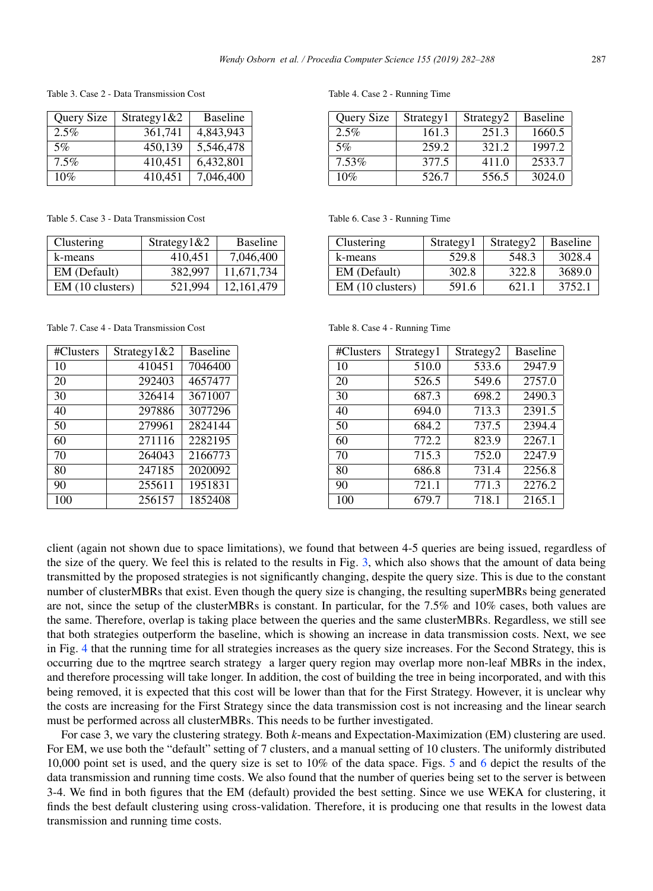Table 3. Case 2 - Data Transmission Cost

| Query Size | Strategy1&2 | <b>Baseline</b> |
|------------|-------------|-----------------|
| 2.5%       | 361.741     | 4,843,943       |
| 5%         | 450,139     | 5,546,478       |
| $7.5\%$    | 410,451     | 6,432,801       |
| 10%        | 410,451     | 7,046,400       |

Table 5. Case 3 - Data Transmission Cost

| Clustering       | Strategy $1&2$ | <b>Baseline</b> |
|------------------|----------------|-----------------|
| k-means          | 410.451        | 7,046,400       |
| EM (Default)     | 382.997        | 11,671,734      |
| EM (10 clusters) | 521,994        | 12,161,479      |

Table 7. Case 4 - Data Transmission Cost

| #Clusters | Strategy1&2 | <b>Baseline</b> |
|-----------|-------------|-----------------|
| 10        | 410451      | 7046400         |
| 20        | 292403      | 4657477         |
| 30        | 326414      | 3671007         |
| 40        | 297886      | 3077296         |
| 50        | 279961      | 2824144         |
| 60        | 271116      | 2282195         |
| 70        | 264043      | 2166773         |
| 80        | 247185      | 2020092         |
| 90        | 255611      | 1951831         |
| 100       | 256157      | 1852408         |

Table 4. Case 2 - Running Time

| Query Size | Strategy1 | Strategy <sub>2</sub> | <b>Baseline</b> |
|------------|-----------|-----------------------|-----------------|
| 2.5%       | 161.3     | 251.3                 | 1660.5          |
| 5%         | 259.2     | 321.2                 | 1997.2          |
| 7.53%      | 377.5     | 411.0                 | 2533.7          |
| 10%        | 526.7     | 556.5                 | 3024.0          |

Table 6. Case 3 - Running Time

| Clustering       | Strategy1 | Strategy <sub>2</sub> | <b>Baseline</b> |
|------------------|-----------|-----------------------|-----------------|
| k-means          | 529.8     | 548.3                 | 3028.4          |
| EM (Default)     | 302.8     | 322.8                 | 3689.0          |
| EM (10 clusters) | 591.6     | 621.1                 | 3752.1          |

Table 8. Case 4 - Running Time

| #Clusters | Strategy1 | Strategy <sub>2</sub> | <b>Baseline</b> |
|-----------|-----------|-----------------------|-----------------|
| 10        | 510.0     | 533.6                 | 2947.9          |
| 20        | 526.5     | 549.6                 | 2757.0          |
| 30        | 687.3     | 698.2                 | 2490.3          |
| 40        | 694.0     | 713.3                 | 2391.5          |
| 50        | 684.2     | 737.5                 | 2394.4          |
| 60        | 772.2     | 823.9                 | 2267.1          |
| 70        | 715.3     | 752.0                 | 2247.9          |
| 80        | 686.8     | 731.4                 | 2256.8          |
| 90        | 721.1     | 771.3                 | 2276.2          |
| 100       | 679.7     | 718.1                 | 2165.1          |

client (again not shown due to space limitations), we found that between 4-5 queries are being issued, regardless of the size of the query. We feel this is related to the results in Fig. 3, which also shows that the amount of data being transmitted by the proposed strategies is not significantly changing, despite the query size. This is due to the constant number of clusterMBRs that exist. Even though the query size is changing, the resulting superMBRs being generated are not, since the setup of the clusterMBRs is constant. In particular, for the 7.5% and 10% cases, both values are the same. Therefore, overlap is taking place between the queries and the same clusterMBRs. Regardless, we still see that both strategies outperform the baseline, which is showing an increase in data transmission costs. Next, we see in Fig. 4 that the running time for all strategies increases as the query size increases. For the Second Strategy, this is occurring due to the mqrtree search strategy a larger query region may overlap more non-leaf MBRs in the index, and therefore processing will take longer. In addition, the cost of building the tree in being incorporated, and with this being removed, it is expected that this cost will be lower than that for the First Strategy. However, it is unclear why the costs are increasing for the First Strategy since the data transmission cost is not increasing and the linear search must be performed across all clusterMBRs. This needs to be further investigated.

For case 3, we vary the clustering strategy. Both *k*-means and Expectation-Maximization (EM) clustering are used. For EM, we use both the "default" setting of 7 clusters, and a manual setting of 10 clusters. The uniformly distributed 10,000 point set is used, and the query size is set to 10% of the data space. Figs. 5 and 6 depict the results of the data transmission and running time costs. We also found that the number of queries being set to the server is between 3-4. We find in both figures that the EM (default) provided the best setting. Since we use WEKA for clustering, it finds the best default clustering using cross-validation. Therefore, it is producing one that results in the lowest data transmission and running time costs.